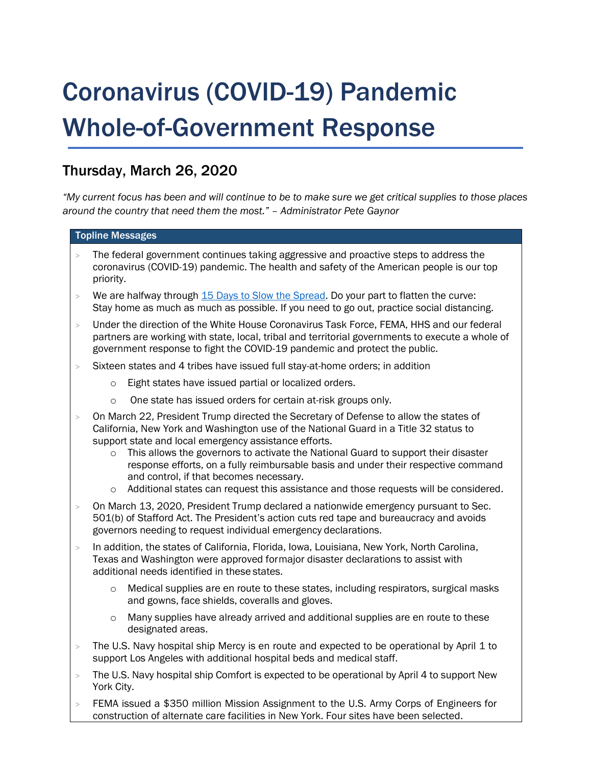# Coronavirus (COVID-19) Pandemic Whole-of-Government Response

# Thursday, March 26, 2020

*"My current focus has been and will continue to be to make sure we get critical supplies to those places around the country that need them the most." – Administrator Pete Gaynor*

# Topline Messages

- The federal government continues taking aggressive and proactive steps to address the coronavirus (COVID-19) pandemic. The health and safety of the American people is our top priority.
- $>$  We are halfway through [15 Days to Slow the Spread.](https://www.whitehouse.gov/wp-content/uploads/2020/03/03.16.20_coronavirus-guidance_8.5x11_315PM.pdf) Do your part to flatten the curve: Stay home as much as much as possible. If you need to go out, practice social distancing.
- > Under the direction of the White House Coronavirus Task Force, FEMA, HHS and our federal partners are working with state, local, tribal and territorial governments to execute a whole of government response to fight the COVID-19 pandemic and protect the public.
- > Sixteen states and 4 tribes have issued full stay-at-home orders; in addition
	- o Eight states have issued partial or localized orders.
	- o One state has issued orders for certain at-risk groups only.
- > On March 22, President Trump directed the Secretary of Defense to allow the states of California, New York and Washington use of the National Guard in a Title 32 status to support state and local emergency assistance efforts.
	- $\circ$  This allows the governors to activate the National Guard to support their disaster response efforts, on a fully reimbursable basis and under their respective command and control, if that becomes necessary.
	- o Additional states can request this assistance and those requests will be considered.
- > On March 13, 2020, President Trump declared a nationwide emergency pursuant to Sec. 501(b) of Stafford Act. The President's action cuts red tape and bureaucracy and avoids governors needing to request individual emergency declarations.
- > In addition, the states of California, Florida, Iowa, Louisiana, New York, North Carolina, Texas and Washington were approved formajor disaster declarations to assist with additional needs identified in these states.
	- $\circ$  Medical supplies are en route to these states, including respirators, surgical masks and gowns, face shields, coveralls and gloves.
	- $\circ$  Many supplies have already arrived and additional supplies are en route to these designated areas.
- $>$  The U.S. Navy hospital ship Mercy is en route and expected to be operational by April 1 to support Los Angeles with additional hospital beds and medical staff.
- > The U.S. Navy hospital ship Comfort is expected to be operational by April 4 to support New York City.
- FEMA issued a \$350 million Mission Assignment to the U.S. Army Corps of Engineers for construction of alternate care facilities in New York. Four sites have been selected.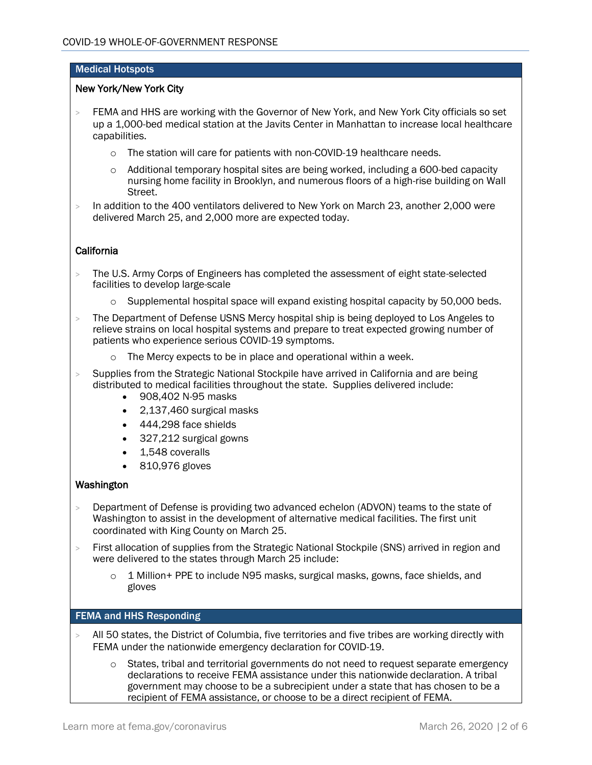## Medical Hotspots

#### New York/New York City

- > FEMA and HHS are working with the Governor of New York, and New York City officials so set up a 1,000-bed medical station at the Javits Center in Manhattan to increase local healthcare capabilities.
	- o The station will care for patients with non-COVID-19 healthcare needs.
	- $\circ$  Additional temporary hospital sites are being worked, including a 600-bed capacity nursing home facility in Brooklyn, and numerous floors of a high-rise building on Wall Street.
- > In addition to the 400 ventilators delivered to New York on March 23, another 2,000 were delivered March 25, and 2,000 more are expected today.

## California

- > The U.S. Army Corps of Engineers has completed the assessment of eight state-selected facilities to develop large-scale
	- $\circ$  Supplemental hospital space will expand existing hospital capacity by 50,000 beds.
- > The Department of Defense USNS Mercy hospital ship is being deployed to Los Angeles to relieve strains on local hospital systems and prepare to treat expected growing number of patients who experience serious COVID-19 symptoms.
	- o The Mercy expects to be in place and operational within a week.
- > Supplies from the Strategic National Stockpile have arrived in California and are being distributed to medical facilities throughout the state. Supplies delivered include:
	- 908,402 N-95 masks
	- 2,137,460 surgical masks
	- 444,298 face shields
	- 327,212 surgical gowns
	- 1,548 coveralls
	- 810,976 gloves

#### Washington

- > Department of Defense is providing two advanced echelon (ADVON) teams to the state of Washington to assist in the development of alternative medical facilities. The first unit coordinated with King County on March 25.
- > First allocation of supplies from the Strategic National Stockpile (SNS) arrived in region and were delivered to the states through March 25 include:
	- $\circ$  1 Million + PPE to include N95 masks, surgical masks, gowns, face shields, and gloves

#### FEMA and HHS Responding

- All 50 states, the District of Columbia, five territories and five tribes are working directly with FEMA under the nationwide emergency declaration for COVID-19.
	- $\circ$  States, tribal and territorial governments do not need to request separate emergency declarations to receive FEMA assistance under this nationwide declaration. A tribal government may choose to be a subrecipient under a state that has chosen to be a recipient of FEMA assistance, or choose to be a direct recipient of FEMA.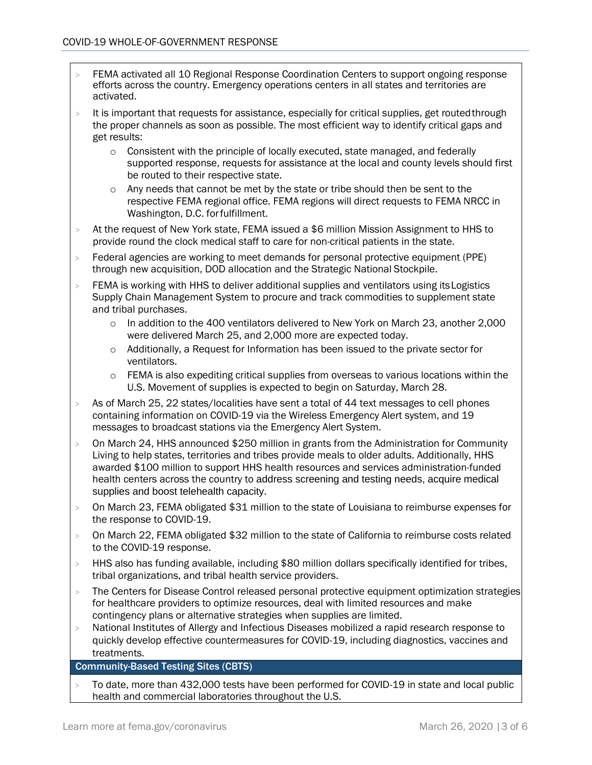- > FEMA activated all 10 Regional Response Coordination Centers to support ongoing response efforts across the country. Emergency operations centers in all states and territories are activated.
- $>$  It is important that requests for assistance, especially for critical supplies, get routed through the proper channels as soon as possible. The most efficient way to identify critical gaps and get results:
	- $\circ$  Consistent with the principle of locally executed, state managed, and federally supported response, requests for assistance at the local and county levels should first be routed to their respective state.
	- o Any needs that cannot be met by the state or tribe should then be sent to the respective FEMA regional office. FEMA regions will direct requests to FEMA NRCC in Washington, D.C. forfulfillment.
- > At the request of New York state, FEMA issued a \$6 million Mission Assignment to HHS to provide round the clock medical staff to care for non-critical patients in the state.
- > Federal agencies are working to meet demands for personal protective equipment (PPE) through new acquisition, DOD allocation and the Strategic National Stockpile.
- > FEMA is working with HHS to deliver additional supplies and ventilators using itsLogistics Supply Chain Management System to procure and track commodities to supplement state and tribal purchases.
	- $\circ$  In addition to the 400 ventilators delivered to New York on March 23, another 2,000 were delivered March 25, and 2,000 more are expected today.
	- $\circ$  Additionally, a Request for Information has been issued to the private sector for ventilators.
	- $\circ$  FEMA is also expediting critical supplies from overseas to various locations within the U.S. Movement of supplies is expected to begin on Saturday, March 28.
- > As of March 25, 22 states/localities have sent a total of 44 text messages to cell phones containing information on COVID-19 via the Wireless Emergency Alert system, and 19 messages to broadcast stations via the Emergency Alert System.
- > On March 24, HHS announced \$250 million in grants from the Administration for Community Living to help states, territories and tribes provide meals to older adults. Additionally, HHS awarded \$100 million to support HHS health resources and services administration-funded health centers across the country to address screening and testing needs, acquire medical supplies and boost telehealth capacity.
- > On March 23, FEMA obligated \$31 million to the state of Louisiana to reimburse expenses for the response to COVID-19.
- > On March 22, FEMA obligated \$32 million to the state of California to reimburse costs related to the COVID-19 response.
- $>$  HHS also has funding available, including \$80 million dollars specifically identified for tribes, tribal organizations, and tribal health service providers.
- > The Centers for Disease Control released personal protective equipment optimization strategies for healthcare providers to optimize resources, deal with limited resources and make contingency plans or alternative strategies when supplies are limited.
- > National Institutes of Allergy and Infectious Diseases mobilized a rapid research response to quickly develop effective countermeasures for COVID-19, including diagnostics, vaccines and treatments.

# Community-Based Testing Sites (CBTS)

> To date, more than 432,000 tests have been performed for COVID-19 in state and local public health and commercial laboratories throughout the U.S.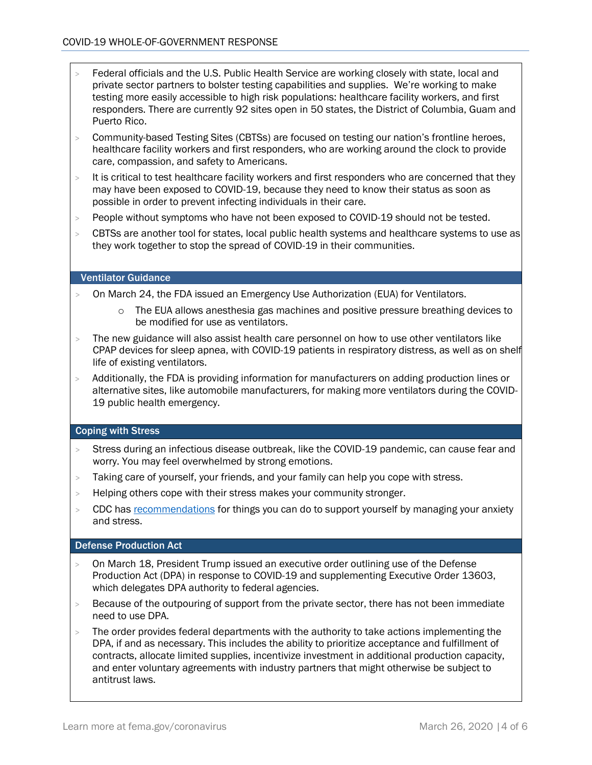- > Federal officials and the U.S. Public Health Service are working closely with state, local and private sector partners to bolster testing capabilities and supplies. We're working to make testing more easily accessible to high risk populations: healthcare facility workers, and first responders. There are currently 92 sites open in 50 states, the District of Columbia, Guam and Puerto Rico.
- > Community-based Testing Sites (CBTSs) are focused on testing our nation's frontline heroes, healthcare facility workers and first responders, who are working around the clock to provide care, compassion, and safety to Americans.
- > It is critical to test healthcare facility workers and first responders who are concerned that they may have been exposed to COVID-19, because they need to know their status as soon as possible in order to prevent infecting individuals in their care.
- > People without symptoms who have not been exposed to COVID-19 should not be tested.
- > CBTSs are another tool for states, local public health systems and healthcare systems to use as they work together to stop the spread of COVID-19 in their communities.

#### Ventilator Guidance

- > On March 24, the FDA issued an Emergency Use Authorization (EUA) for Ventilators.
	- o The EUA allows anesthesia gas machines and positive pressure breathing devices to be modified for use as ventilators.
- > The new guidance will also assist health care personnel on how to use other ventilators like CPAP devices for sleep apnea, with COVID-19 patients in respiratory distress, as well as on shelf life of existing ventilators.
- > Additionally, the FDA is providing information for manufacturers on adding production lines or alternative sites, like automobile manufacturers, for making more ventilators during the COVID-19 public health emergency.

#### Coping with Stress

- > Stress during an infectious disease outbreak, like the COVID-19 pandemic, can cause fear and worry. You may feel overwhelmed by strong emotions.
- > Taking care of yourself, your friends, and your family can help you cope with stress.
- > Helping others cope with their stress makes your community stronger.
- > CDC has [recommendations](https://www.cdc.gov/coronavirus/2019-ncov/prepare/managing-stress-anxiety.html) for things you can do to support yourself by managing your anxiety and stress.

#### Defense Production Act

- > On March 18, President Trump issued an executive order outlining use of the Defense Production Act (DPA) in response to COVID-19 and supplementing Executive [Order 13603,](https://www.govinfo.gov/content/pkg/FR-2012-03-22/pdf/2012-7019.pdf) which delegates DPA authority to federal agencies.
- > Because of the outpouring of support from the private sector, there has not been immediate need to use DPA.
- $>$  The order provides federal departments with the authority to take actions implementing the DPA, if and as necessary. This includes the ability to prioritize acceptance and fulfillment of contracts, allocate limited supplies, incentivize investment in additional production capacity, and enter voluntary agreements with industry partners that might otherwise be subject to antitrust laws.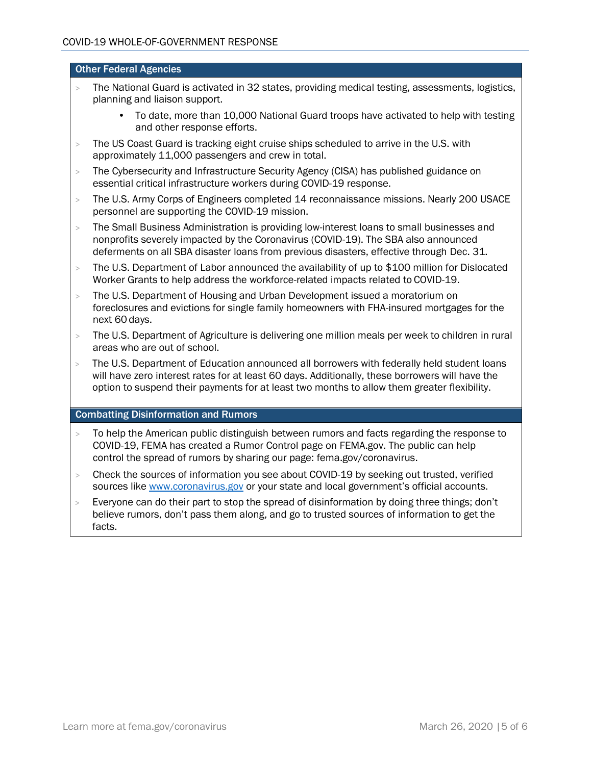#### Other Federal Agencies

- > The National Guard is activated in 32 states, providing medical testing, assessments, logistics, planning and liaison support.
	- To date, more than 10,000 National Guard troops have activated to help with testing and other response efforts.
- > The US Coast Guard is tracking eight cruise ships scheduled to arrive in the U.S. with approximately 11,000 passengers and crew in total.
- > The Cybersecurity and Infrastructure Security Agency (CISA) has published guidance on essential critical infrastructure workers during COVID-19 response.
- > The U.S. Army Corps of Engineers completed 14 reconnaissance missions. Nearly 200 USACE personnel are supporting the COVID-19 mission.
- > The Small Business Administration is providing low-interest loans to small businesses and nonprofits severely impacted by the Coronavirus (COVID-19). The SBA also announced deferments on all SBA disaster loans from previous disasters, effective through Dec. 31.
- > The U.S. Department of Labor announced the availability of up to \$100 million for Dislocated Worker Grants to help address the workforce-related impacts related to COVID-19.
- > The U.S. Department of Housing and Urban Development issued a moratorium on foreclosures and evictions for single family homeowners with FHA-insured mortgages for the next 60 days.
- > The U.S. Department of Agriculture is delivering one million meals per week to children in rural areas who are out of school.
- > The U.S. Department of Education announced all borrowers with federally held student loans will have zero interest rates for at least 60 days. Additionally, these borrowers will have the option to suspend their payments for at least two months to allow them greater flexibility.

#### Combatting Disinformation and Rumors

- > To help the American public distinguish between rumors and facts regarding the response to COVID-19, FEMA has created a Rumor Control page on FEMA.gov. The public can help control the spread of rumors by sharing our page: [fema.gov/coronavirus.](http://www.fema.gov/coronavirus)
- > Check the sources of information you see about COVID-19 by seeking out trusted, verified sources like [www.coronavirus.gov](http://www.coronavirus.gov/) or your state and local government's official accounts.
- > Everyone can do their part to stop the spread of disinformation by doing three things; don't believe rumors, don't pass them along, and go to trusted sources of information to get the facts.